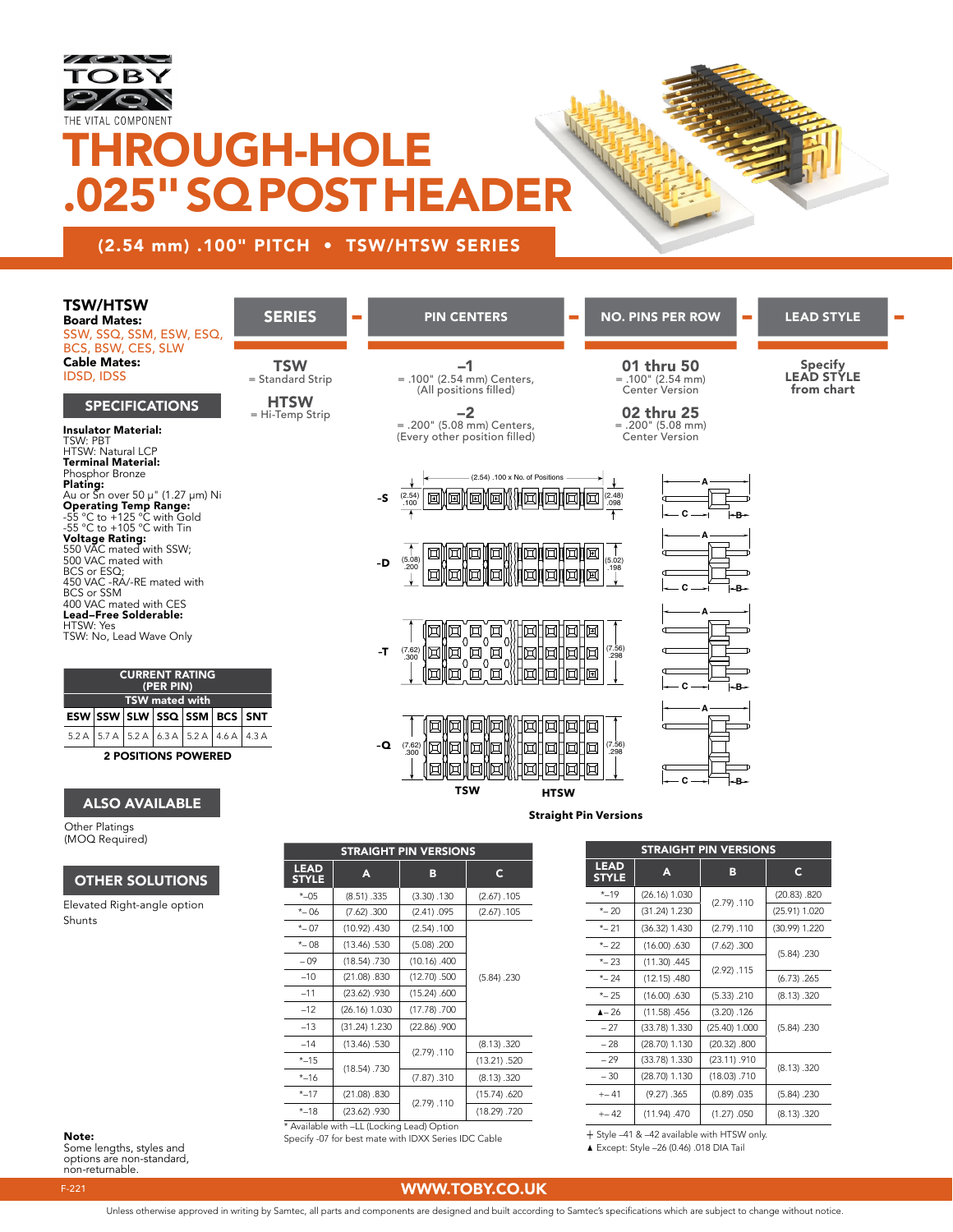

## **HROUGH-HOLE** .025" SQ POST HEADER

## (2.54 mm) .100" PITCH • TSW/HTSW SERIES

## TSW/HTSW

Board Mates: SSW, SSQ, SSM, ESW, ESQ, BCS, BSW, CES, SLW Cable Mates: IDSD, IDSS

## SPECIFICATIONS

Insulator Material: TSW: PBT HTSW: Natural LCP **Terminal Material:**<br>Phosphor Bronze Plating:<br>Au or Sn over 50 µ" (1.27 µm) Ni<br>Operating Temp Range:<br>-55 °C to +125 °C with Gold<br>-55 °C to +105 °C with Tin<br>Voltage Rating:<br>SoD VAC mated with SSW;<br>BCS or ESQ;<br>ASD VAC -RA/-RE mated with<br>400 VAC mated with CES<br>4 Lead–Free Solderable: HTSW: Yes TSW: No, Lead Wave Only

### CURRENT RATING (PER PIN) TSW mated with  $ESW$  SSW SLW SSQ SSM BCS  $5.2 A$  5.7 A 5.2 A 6.3 A 5.2 A 4.6 A 2 POSITIONS POWERED

## ALSO AVAILABLE

Other Platings (MOQ Required)

## OTHER SOLUTIONS

Elevated Right-angle option Shunts

| <b>SERIES</b>                                                    |  | <b>PIN CENTERS</b>                                                                                                                                                                                                                                  | $\overline{\phantom{a}}$ | <b>NO. PINS PER ROW</b>                                                                                                  | m. | <b>LEAD STYLE</b>                                 |  |
|------------------------------------------------------------------|--|-----------------------------------------------------------------------------------------------------------------------------------------------------------------------------------------------------------------------------------------------------|--------------------------|--------------------------------------------------------------------------------------------------------------------------|----|---------------------------------------------------|--|
| <b>TSW</b><br>= Standard Strip<br><b>HTSW</b><br>= Hi-Temp Strip |  | -1<br>$= .100"$ (2.54 mm) Centers,<br>(All positions filled)<br>-2<br>= .200" (5.08 mm) Centers,<br>(Every other position filled)                                                                                                                   |                          | 01 thru 50<br>$= .100" (2.54 mm)$<br><b>Center Version</b><br>02 thru 25<br>$= .200" (5.08 mm)$<br><b>Center Version</b> |    | <b>Specify</b><br><b>LEAD STYLE</b><br>from chart |  |
|                                                                  |  | (2.54) .100 x No. of Positions<br>$(2.54)$<br>.100<br>$-S$                                                                                                                                                                                          |                          | Α<br>$(2.48)$<br>.098<br>頂<br>Ŧ<br>c<br>$-B-$                                                                            |    |                                                   |  |
|                                                                  |  | 団<br>ℍ<br>$(5.08)$<br>.200<br>-D<br>叵                                                                                                                                                                                                               | 网络利                      | (5.02)<br>.198<br>匝<br>С<br>-B÷                                                                                          |    |                                                   |  |
|                                                                  |  | $\Box$<br>囥<br>∥団<br>団<br>囥<br>$^{\circ}$<br>$\Omega$<br>$\mathbb{Z}_{\scriptscriptstyle\mathrm{300}}^{\scriptscriptstyle\mathrm{[7.62]}}$ [E $\mathbb{Z}$ ] $\mathbb{Z}$ ]<br>[`团`<br>inininin<br>$-T$<br>$^{O}$<br>$^{O}$<br>ĬØ<br>囥<br> 団<br>  □ | ।न्ना<br>口               | Δ<br>阃<br>$(7.56)$<br>.298<br>圓<br>– C —–ı<br>l≁B÷                                                                       |    |                                                   |  |
| <b>SNT</b><br>4.3A                                               |  | 161 161<br>ੋ¤<br>⊡<br>-Q<br><b>TSW</b><br><b>HTSW</b>                                                                                                                                                                                               | 1ার।                     | ™<br>$(7.56)$<br>.298<br>C<br>- B                                                                                        |    |                                                   |  |
| <b>Straight Pin Versions</b>                                     |  |                                                                                                                                                                                                                                                     |                          |                                                                                                                          |    |                                                   |  |

| <b>STRAIGHT PIN VERSIONS</b>               |                |                   |              |  |
|--------------------------------------------|----------------|-------------------|--------------|--|
| <b>LEAD</b><br><b>STYLE</b>                | A              | в                 | C            |  |
| $*$ -05                                    | (8.51) .335    | (3.30) .130       | (2.67) .105  |  |
| $*-06$                                     | (7.62) .300    | (2.41) .095       | (2.67) .105  |  |
| $*-07$                                     | (10.92) .430   | (2.54) .100       |              |  |
| $*-08$                                     | $(13.46)$ .530 | (5.08) .200       |              |  |
| $-09$                                      | (18.54) .730   | (10.16) .400      |              |  |
| $-10$                                      | (21.08) .830   | (12.70) .500      | (5.84) .230  |  |
| $-11$                                      | (23.62) .930   | (15.24) .600      |              |  |
| $-12$                                      | (26.16) 1.030  | (17.78) .700      |              |  |
| $-13$                                      | (31.24) 1.230  | $(22.86)$ . $900$ |              |  |
| $-14$                                      | (13.46) .530   |                   | (8.13) .320  |  |
| $* - 15$                                   |                | (2.79) .110       | (13.21) .520 |  |
| $* - 16$                                   | (18.54) .730   | (7.87) .310       | (8.13) .320  |  |
| $* - 17$                                   | (21.08) .830   |                   | (15.74) .620 |  |
| $* - 18$                                   | (23.62) .930   | (2.79) .110       | (18.29) .720 |  |
| * Available with -LL (Locking Lead) Option |                |                   |              |  |

Note: Specify -07 for best mate with IDXX Series IDC Cable

| <b>LEAD</b><br>c<br>A<br>в<br><b>STYLE</b><br>$* - 19$<br>(26.16) 1.030<br>(20.83) .820<br>(2.79) .110<br>$*-20$<br>(31.24) 1.230<br>(25.91) 1.020<br>$*-21$<br>(30.99) 1.220<br>$(36.32)$ 1.430<br>(2.79) .110<br>$*-22$<br>(16.00) .630<br>(7.62) .300<br>(5.84) .230<br>$*-23$<br>$(11.30)$ .445<br>(2.92) .115<br>$*-24$<br>(12.15) .480<br>(6.73) .265<br>$*-25$<br>(16.00) .630<br>(5.33) .210<br>(8.13) .320<br>$A - 26$<br>(11.58) .456<br>(3.20) .126<br>$-27$<br>$(33.78)$ 1.330<br>(25.40) 1.000<br>(5.84) .230<br>$-28$<br>(28.70) 1.130<br>(20.32) .800<br>$-29$<br>$(33.78)$ 1.330<br>(23.11) .910<br>(8.13) .320<br>$-30$<br>(28.70) 1.130<br>(18.03) .710<br>(9.27) .365<br>$+-41$<br>(0.89) .035<br>(5.84) .230<br>(11.94) .470<br>$+-42$<br>(1.27) .050<br>(8.13) .320 | STRAIGHT PIN VERSIONS |  |  |  |  |
|------------------------------------------------------------------------------------------------------------------------------------------------------------------------------------------------------------------------------------------------------------------------------------------------------------------------------------------------------------------------------------------------------------------------------------------------------------------------------------------------------------------------------------------------------------------------------------------------------------------------------------------------------------------------------------------------------------------------------------------------------------------------------------------|-----------------------|--|--|--|--|
|                                                                                                                                                                                                                                                                                                                                                                                                                                                                                                                                                                                                                                                                                                                                                                                          |                       |  |  |  |  |
|                                                                                                                                                                                                                                                                                                                                                                                                                                                                                                                                                                                                                                                                                                                                                                                          |                       |  |  |  |  |
|                                                                                                                                                                                                                                                                                                                                                                                                                                                                                                                                                                                                                                                                                                                                                                                          |                       |  |  |  |  |
|                                                                                                                                                                                                                                                                                                                                                                                                                                                                                                                                                                                                                                                                                                                                                                                          |                       |  |  |  |  |
|                                                                                                                                                                                                                                                                                                                                                                                                                                                                                                                                                                                                                                                                                                                                                                                          |                       |  |  |  |  |
|                                                                                                                                                                                                                                                                                                                                                                                                                                                                                                                                                                                                                                                                                                                                                                                          |                       |  |  |  |  |
|                                                                                                                                                                                                                                                                                                                                                                                                                                                                                                                                                                                                                                                                                                                                                                                          |                       |  |  |  |  |
|                                                                                                                                                                                                                                                                                                                                                                                                                                                                                                                                                                                                                                                                                                                                                                                          |                       |  |  |  |  |
|                                                                                                                                                                                                                                                                                                                                                                                                                                                                                                                                                                                                                                                                                                                                                                                          |                       |  |  |  |  |
|                                                                                                                                                                                                                                                                                                                                                                                                                                                                                                                                                                                                                                                                                                                                                                                          |                       |  |  |  |  |
|                                                                                                                                                                                                                                                                                                                                                                                                                                                                                                                                                                                                                                                                                                                                                                                          |                       |  |  |  |  |
|                                                                                                                                                                                                                                                                                                                                                                                                                                                                                                                                                                                                                                                                                                                                                                                          |                       |  |  |  |  |
|                                                                                                                                                                                                                                                                                                                                                                                                                                                                                                                                                                                                                                                                                                                                                                                          |                       |  |  |  |  |
|                                                                                                                                                                                                                                                                                                                                                                                                                                                                                                                                                                                                                                                                                                                                                                                          |                       |  |  |  |  |
|                                                                                                                                                                                                                                                                                                                                                                                                                                                                                                                                                                                                                                                                                                                                                                                          |                       |  |  |  |  |

+ Style –41 & –42 available with HTSW only.

▲ Except: Style –26 (0.46) .018 DIA Tail

Some lengths, styles and options are non-standard, non-returnable.

## F-221 WWW.TOBY.CO.UK

Unless otherwise approved in writing by Samtec, all parts and components are designed and built according to Samtec's specifications which are subject to change without notice.